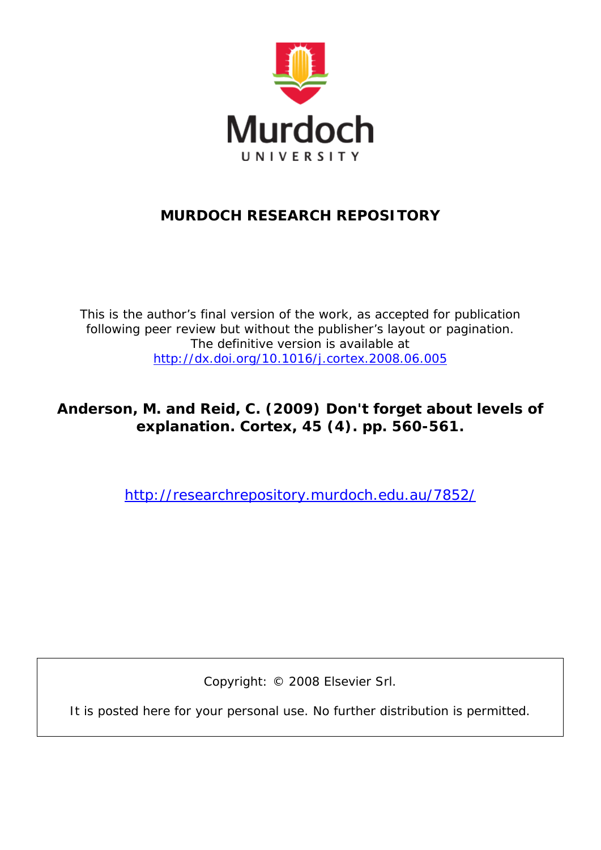

## **MURDOCH RESEARCH REPOSITORY**

*This is the author's final version of the work, as accepted for publication following peer review but without the publisher's layout or pagination. The definitive version is available at <http://dx.doi.org/10.1016/j.cortex.2008.06.005>*

**Anderson, M. and Reid, C. (2009) Don't forget about levels of explanation. Cortex, 45 (4). pp. 560-561.**

<http://researchrepository.murdoch.edu.au/7852/>

Copyright: © 2008 Elsevier Srl.

It is posted here for your personal use. No further distribution is permitted.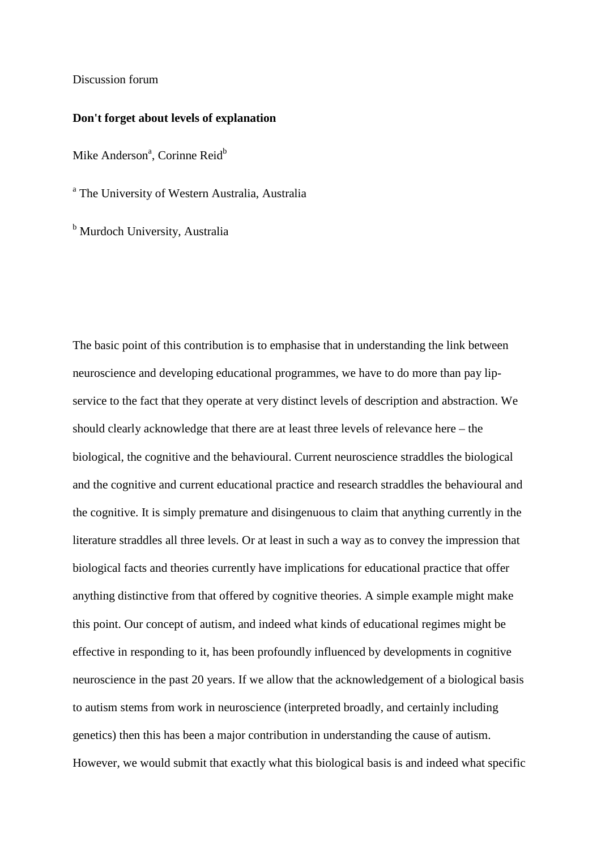Discussion forum

## **Don't forget about levels of explanation**

Mike Anderson<sup>a</sup>, Corinne Reid<sup>b</sup>

<sup>a</sup> The University of Western Australia, Australia

<sup>b</sup> Murdoch University, Australia

The basic point of this contribution is to emphasise that in understanding the link between neuroscience and developing educational programmes, we have to do more than pay lipservice to the fact that they operate at very distinct levels of description and abstraction. We should clearly acknowledge that there are at least three levels of relevance here – the biological, the cognitive and the behavioural. Current neuroscience straddles the biological and the cognitive and current educational practice and research straddles the behavioural and the cognitive. It is simply premature and disingenuous to claim that anything currently in the literature straddles all three levels. Or at least in such a way as to convey the impression that biological facts and theories currently have implications for educational practice that offer anything distinctive from that offered by cognitive theories. A simple example might make this point. Our concept of autism, and indeed what kinds of educational regimes might be effective in responding to it, has been profoundly influenced by developments in cognitive neuroscience in the past 20 years. If we allow that the acknowledgement of a biological basis to autism stems from work in neuroscience (interpreted broadly, and certainly including genetics) then this has been a major contribution in understanding the cause of autism. However, we would submit that exactly what this biological basis is and indeed what specific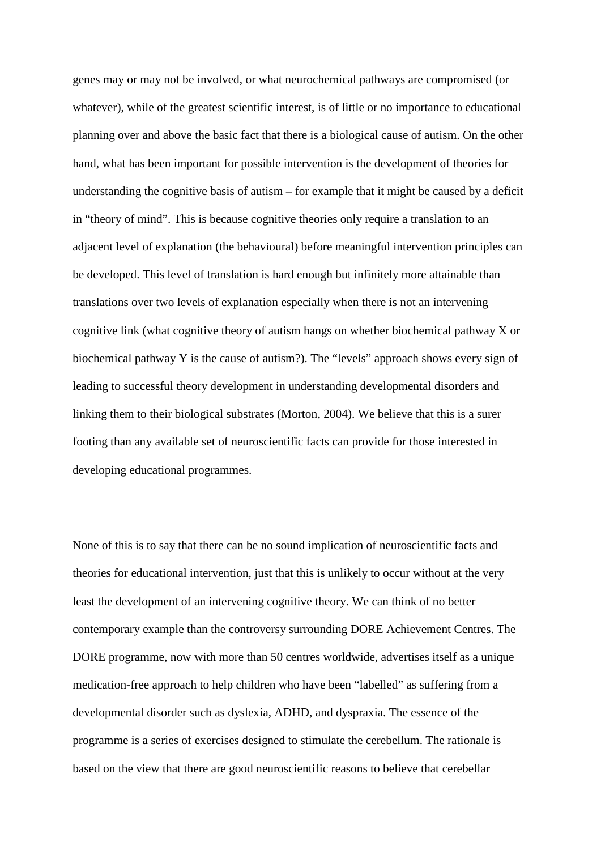genes may or may not be involved, or what neurochemical pathways are compromised (or whatever), while of the greatest scientific interest, is of little or no importance to educational planning over and above the basic fact that there is a biological cause of autism. On the other hand, what has been important for possible intervention is the development of theories for understanding the cognitive basis of autism – for example that it might be caused by a deficit in "theory of mind". This is because cognitive theories only require a translation to an adjacent level of explanation (the behavioural) before meaningful intervention principles can be developed. This level of translation is hard enough but infinitely more attainable than translations over two levels of explanation especially when there is not an intervening cognitive link (what cognitive theory of autism hangs on whether biochemical pathway X or biochemical pathway Y is the cause of autism?). The "levels" approach shows every sign of leading to successful theory development in understanding developmental disorders and linking them to their biological substrates (Morton, 2004). We believe that this is a surer footing than any available set of neuroscientific facts can provide for those interested in developing educational programmes.

None of this is to say that there can be no sound implication of neuroscientific facts and theories for educational intervention, just that this is unlikely to occur without at the very least the development of an intervening cognitive theory. We can think of no better contemporary example than the controversy surrounding DORE Achievement Centres. The DORE programme, now with more than 50 centres worldwide, advertises itself as a unique medication-free approach to help children who have been "labelled" as suffering from a developmental disorder such as dyslexia, ADHD, and dyspraxia. The essence of the programme is a series of exercises designed to stimulate the cerebellum. The rationale is based on the view that there are good neuroscientific reasons to believe that cerebellar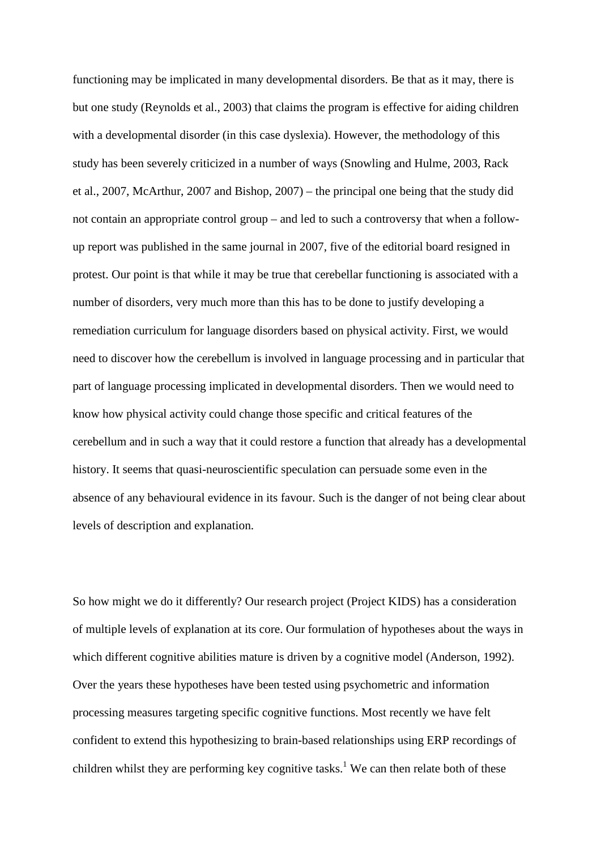functioning may be implicated in many developmental disorders. Be that as it may, there is but one study (Reynolds et al., 2003) that claims the program is effective for aiding children with a developmental disorder (in this case dyslexia). However, the methodology of this study has been severely criticized in a number of ways (Snowling and Hulme, 2003, Rack et al., 2007, McArthur, 2007 and Bishop, 2007) – the principal one being that the study did not contain an appropriate control group – and led to such a controversy that when a followup report was published in the same journal in 2007, five of the editorial board resigned in protest. Our point is that while it may be true that cerebellar functioning is associated with a number of disorders, very much more than this has to be done to justify developing a remediation curriculum for language disorders based on physical activity. First, we would need to discover how the cerebellum is involved in language processing and in particular that part of language processing implicated in developmental disorders. Then we would need to know how physical activity could change those specific and critical features of the cerebellum and in such a way that it could restore a function that already has a developmental history. It seems that quasi-neuroscientific speculation can persuade some even in the absence of any behavioural evidence in its favour. Such is the danger of not being clear about levels of description and explanation.

So how might we do it differently? Our research project (Project KIDS) has a consideration of multiple levels of explanation at its core. Our formulation of hypotheses about the ways in which different cognitive abilities mature is driven by a cognitive model (Anderson, 1992). Over the years these hypotheses have been tested using psychometric and information processing measures targeting specific cognitive functions. Most recently we have felt confident to extend this hypothesizing to brain-based relationships using ERP recordings of children whilst they are performing key cognitive tasks.<sup>1</sup> We can then relate both of these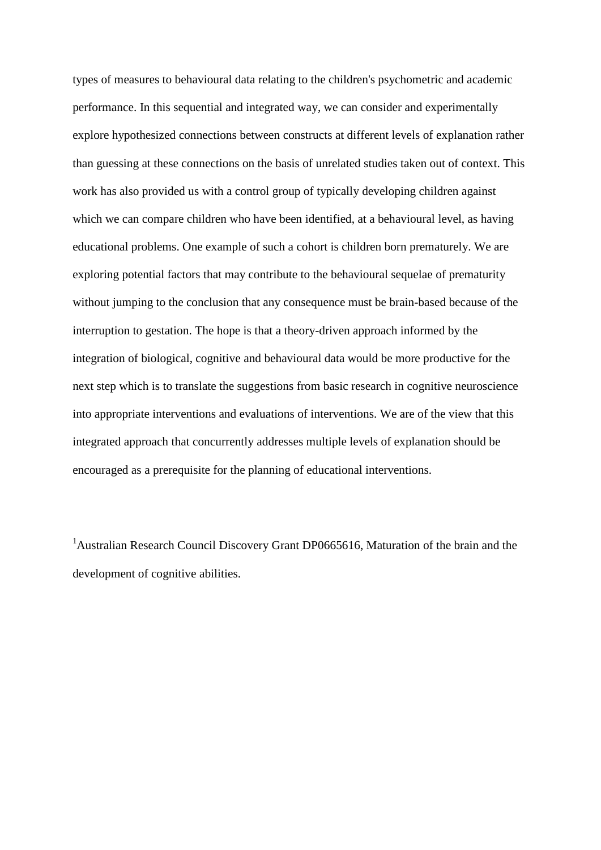types of measures to behavioural data relating to the children's psychometric and academic performance. In this sequential and integrated way, we can consider and experimentally explore hypothesized connections between constructs at different levels of explanation rather than guessing at these connections on the basis of unrelated studies taken out of context. This work has also provided us with a control group of typically developing children against which we can compare children who have been identified, at a behavioural level, as having educational problems. One example of such a cohort is children born prematurely. We are exploring potential factors that may contribute to the behavioural sequelae of prematurity without jumping to the conclusion that any consequence must be brain-based because of the interruption to gestation. The hope is that a theory-driven approach informed by the integration of biological, cognitive and behavioural data would be more productive for the next step which is to translate the suggestions from basic research in cognitive neuroscience into appropriate interventions and evaluations of interventions. We are of the view that this integrated approach that concurrently addresses multiple levels of explanation should be encouraged as a prerequisite for the planning of educational interventions.

<sup>1</sup>Australian Research Council Discovery Grant DP0665616, Maturation of the brain and the development of cognitive abilities.